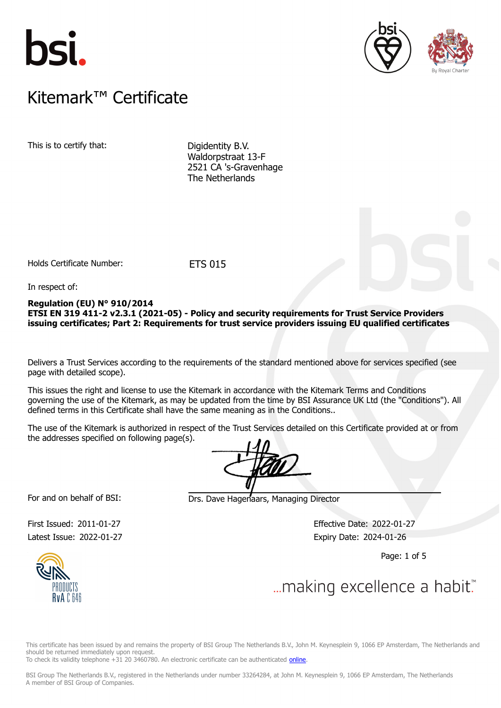





# $K$ itemark $W$  Certificate Kitemark™ Certificate

This is to certify that: Digidentity B.V.

Waldorpstraat 13-F 2521 CA 's-Gravenhage The Netherlands

Holds Certificate Number: ETS 015

In respect of:

# **Regulation (EU) N° 910/2014 ETSI EN 319 411-2 v2.3.1 (2021-05) - Policy and security requirements for Trust Service Providers issuing certificates; Part 2: Requirements for trust service providers issuing EU qualified certificates**

Delivers a Trust Services according to the requirements of the standard mentioned above for services specified (see page with detailed scope).

This issues the right and license to use the Kitemark in accordance with the Kitemark Terms and Conditions governing the use of the Kitemark, as may be updated from the time by BSI Assurance UK Ltd (the "Conditions"). All defined terms in this Certificate shall have the same meaning as in the Conditions..

The use of the Kitemark is authorized in respect of the Trust Services detailed on this Certificate provided at or from the addresses specified on following page(s).

For and on behalf of BSI: Drs. Dave Hagenaars, Managing Director

Latest Issue: 2022-01-27 Expiry Date: 2024-01-26

First Issued: 2011-01-27 Effective Date: 2022-01-27

Page: 1 of 5



# ... making excellence a habit.

This certificate has been issued by and remains the property of BSI Group The Netherlands B.V., John M. Keynesplein 9, 1066 EP Amsterdam, The Netherlands and should be returned immediately upon request.

To check its validity telephone +31 20 3460780. An electronic certificate can be authenticated [online.](https://pgplus.bsigroup.com/CertificateValidation/CertificateValidator.aspx?CertificateNumber=ETS+015&ReIssueDate=27%2f01%2f2022&Template=uk)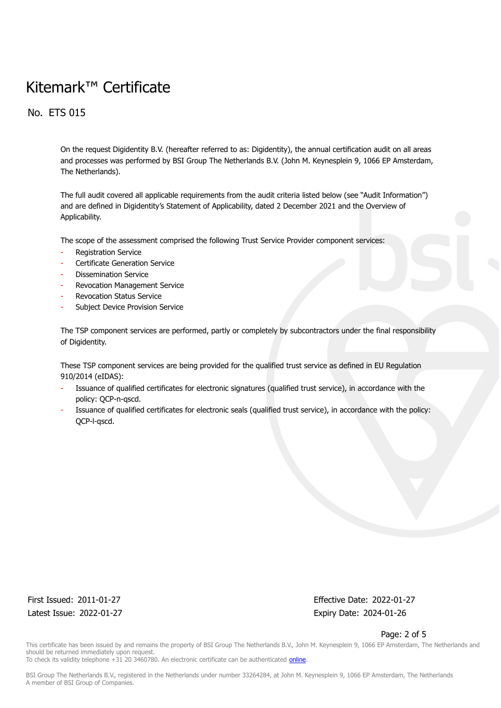No. ETS 015

On the request Digidentity B.V. (hereafter referred to as: Digidentity), the annual certification audit on all areas and processes was performed by BSI Group The Netherlands B.V. (John M. Keynesplein 9, 1066 EP Amsterdam, The Netherlands).

The full audit covered all applicable requirements from the audit criteria listed below (see "Audit Information") and are defined in Digidentity's Statement of Applicability, dated 2 December 2021 and the Overview of Applicability.

The scope of the assessment comprised the following Trust Service Provider component services:

- Registration Service
- Certificate Generation Service
- Dissemination Service
- Revocation Management Service
- Revocation Status Service
- Subject Device Provision Service

The TSP component services are performed, partly or completely by subcontractors under the final responsibility of Digidentity.

These TSP component services are being provided for the qualified trust service as defined in EU Regulation 910/2014 (eIDAS):

- Issuance of qualified certificates for electronic signatures (qualified trust service), in accordance with the policy: QCP-n-qscd.
- Issuance of qualified certificates for electronic seals (qualified trust service), in accordance with the policy: QCP-l-qscd.

Latest Issue: 2022-01-27 Expiry Date: 2024-01-26

First Issued: 2011-01-27 Effective Date: 2022-01-27

Page: 2 of 5

This certificate has been issued by and remains the property of BSI Group The Netherlands B.V., John M. Keynesplein 9, 1066 EP Amsterdam, The Netherlands and should be returned immediately upon request. To check its validity telephone +31 20 3460780. An electronic certificate can be authenticated [online.](https://pgplus.bsigroup.com/CertificateValidation/CertificateValidator.aspx?CertificateNumber=ETS+015&ReIssueDate=27%2f01%2f2022&Template=uk)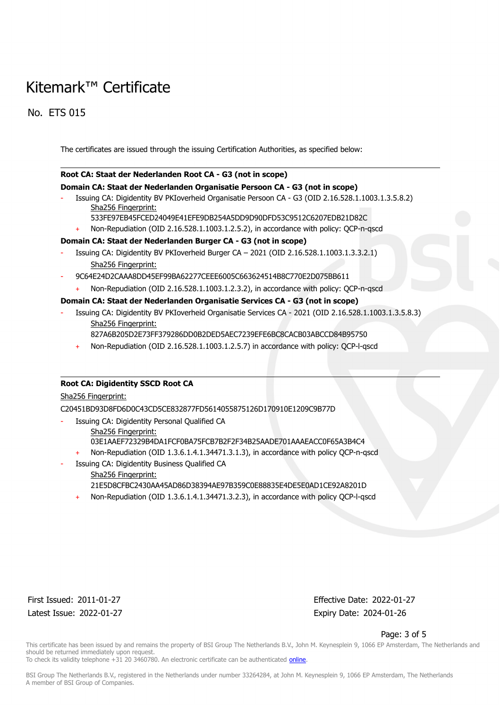No. ETS 015

The certificates are issued through the issuing Certification Authorities, as specified below:

### **Root CA: Staat der Nederlanden Root CA - G3 (not in scope)**

### **Domain CA: Staat der Nederlanden Organisatie Persoon CA - G3 (not in scope)**

- Issuing CA: Digidentity BV PKIoverheid Organisatie Persoon CA G3 (OID 2.16.528.1.1003.1.3.5.8.2) Sha256 Fingerprint:
	- 533FE97EB45FCED24049E41EFE9DB254A5DD9D90DFD53C9512C6207EDB21D82C
	- Non-Repudiation (OID 2.16.528.1.1003.1.2.5.2), in accordance with policy: QCP-n-qscd

# **Domain CA: Staat der Nederlanden Burger CA - G3 (not in scope)**

- Issuing CA: Digidentity BV PKIoverheid Burger CA 2021 (OID 2.16.528.1.1003.1.3.3.2.1) Sha256 Fingerprint:
- 9C64E24D2CAAA8DD45EF99BA62277CEEE6005C663624514B8C770E2D075BB611
	- Non-Repudiation (OID 2.16.528.1.1003.1.2.3.2), in accordance with policy: QCP-n-qscd

# **Domain CA: Staat der Nederlanden Organisatie Services CA - G3 (not in scope)**

- Issuing CA: Digidentity BV PKIoverheid Organisatie Services CA 2021 (OID 2.16.528.1.1003.1.3.5.8.3) Sha256 Fingerprint:
	- 827A6B205D2E73FF379286DD0B2DED5AEC7239EFE6BC8CACB03ABCCD84B95750
	- Non-Repudiation (OID 2.16.528.1.1003.1.2.5.7) in accordance with policy: QCP-l-qscd

# **Root CA: Digidentity SSCD Root CA**

# Sha256 Fingerprint:

C20451BD93D8FD6D0C43CD5CE832877FD5614055875126D170910E1209C9B77D

- Issuing CA: Digidentity Personal Qualified CA
	- Sha256 Fingerprint: 03E1AAEF72329B4DA1FCF0BA75FCB7B2F2F34B25AADE701AAAEACC0F65A3B4C4
		- Non-Repudiation (OID 1.3.6.1.4.1.34471.3.1.3), in accordance with policy QCP-n-qscd
- Issuing CA: Digidentity Business Qualified CA Sha256 Fingerprint: 21E5D8CFBC2430AA45AD86D38394AE97B359C0E88835E4DE5E0AD1CE92A8201D
	- Non-Repudiation (OID 1.3.6.1.4.1.34471.3.2.3), in accordance with policy QCP-l-qscd

Latest Issue: 2022-01-27 Expiry Date: 2024-01-26

First Issued: 2011-01-27 Effective Date: 2022-01-27

#### Page: 3 of 5

This certificate has been issued by and remains the property of BSI Group The Netherlands B.V., John M. Keynesplein 9, 1066 EP Amsterdam, The Netherlands and should be returned immediately upon request. To check its validity telephone +31 20 3460780. An electronic certificate can be authenticated [online.](https://pgplus.bsigroup.com/CertificateValidation/CertificateValidator.aspx?CertificateNumber=ETS+015&ReIssueDate=27%2f01%2f2022&Template=uk)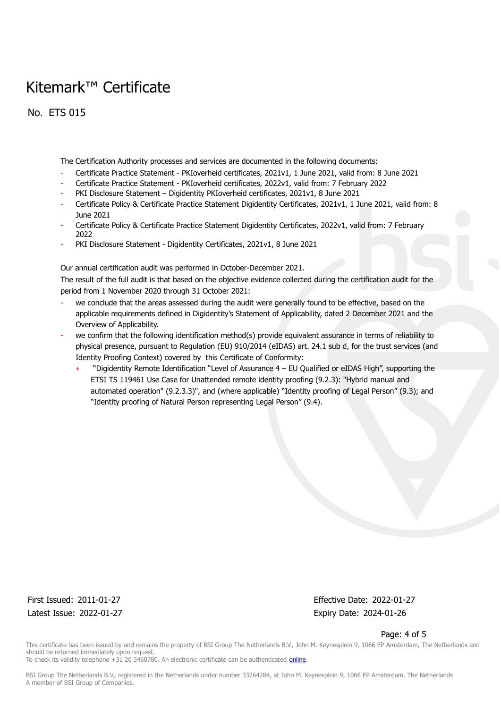No. ETS 015

The Certification Authority processes and services are documented in the following documents:

- Certificate Practice Statement PKIoverheid certificates, 2021v1, 1 June 2021, valid from: 8 June 2021
- Certificate Practice Statement PKIoverheid certificates, 2022v1, valid from: 7 February 2022
- PKI Disclosure Statement Digidentity PKIoverheid certificates, 2021v1, 8 June 2021
- Certificate Policy & Certificate Practice Statement Digidentity Certificates, 2021v1, 1 June 2021, valid from: 8 June 2021
- Certificate Policy & Certificate Practice Statement Digidentity Certificates, 2022v1, valid from: 7 February 2022
- PKI Disclosure Statement Digidentity Certificates, 2021v1, 8 June 2021

Our annual certification audit was performed in October-December 2021.

The result of the full audit is that based on the objective evidence collected during the certification audit for the period from 1 November 2020 through 31 October 2021:

- we conclude that the areas assessed during the audit were generally found to be effective, based on the applicable requirements defined in Digidentity's Statement of Applicability, dated 2 December 2021 and the Overview of Applicability.
- we confirm that the following identification method(s) provide equivalent assurance in terms of reliability to physical presence, pursuant to Regulation (EU) 910/2014 (eIDAS) art. 24.1 sub d, for the trust services (and Identity Proofing Context) covered by this Certificate of Conformity:
	- + "Digidentity Remote Identification "Level of Assurance 4 EU Qualified or eIDAS High", supporting the ETSI TS 119461 Use Case for Unattended remote identity proofing (9.2.3): "Hybrid manual and automated operation" (9.2.3.3)", and (where applicable) "Identity proofing of Legal Person" (9.3); and "Identity proofing of Natural Person representing Legal Person" (9.4).

Latest Issue: 2022-01-27 Expiry Date: 2024-01-26

First Issued: 2011-01-27 Effective Date: 2022-01-27

#### Page: 4 of 5

This certificate has been issued by and remains the property of BSI Group The Netherlands B.V., John M. Keynesplein 9, 1066 EP Amsterdam, The Netherlands and should be returned immediately upon request.

To check its validity telephone +31 20 3460780. An electronic certificate can be authenticated [online.](https://pgplus.bsigroup.com/CertificateValidation/CertificateValidator.aspx?CertificateNumber=ETS+015&ReIssueDate=27%2f01%2f2022&Template=uk)